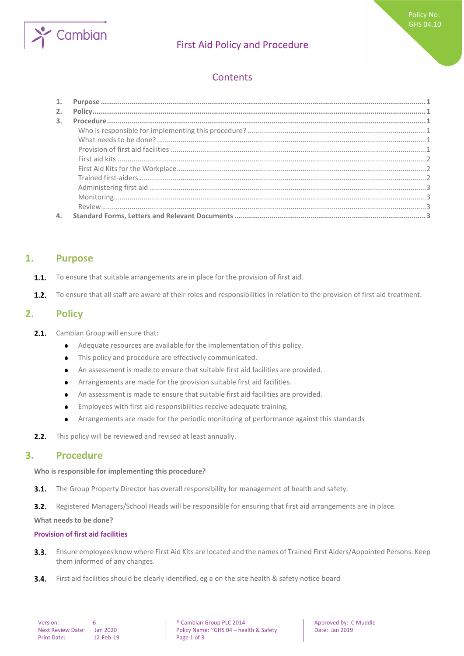

# First Aid Policy and Procedure

## **Contents**

| 2.             |  |
|----------------|--|
| $\mathbf{3}$ . |  |
|                |  |
|                |  |
|                |  |
|                |  |
|                |  |
|                |  |
|                |  |
|                |  |
|                |  |
| 4.             |  |

### <span id="page-0-0"></span>**1. Purpose**

- To ensure that suitable arrangements are in place for the provision of first aid.  $1.1.$
- <span id="page-0-1"></span> $1.2.$ To ensure that all staff are aware of their roles and responsibilities in relation to the provision of first aid treatment.

## **2. Policy**

- $2.1.$ Cambian Group will ensure that:
	- Adequate resources are available for the implementation of this policy.  $\bullet$
	- This policy and procedure are effectively communicated.  $\bullet$
	- An assessment is made to ensure that suitable first aid facilities are provided.  $\bullet$
	- Arrangements are made for the provision suitable first aid facilities.  $\bullet$
	- An assessment is made to ensure that suitable first aid facilities are provided.  $\bullet$
	- Employees with first aid responsibilities receive adequate training.  $\bullet$
	- Arrangements are made for the periodic monitoring of performance against this standards  $\bullet$
- <span id="page-0-2"></span>This policy will be reviewed and revised at least annually.  $2.2.$

### **3. Procedure**

<span id="page-0-3"></span>**Who is responsible for implementing this procedure?**

 $3.1.$ The Group Property Director has overall responsibility for management of health and safety.

 $3.2.$ Registered Managers/School Heads will be responsible for ensuring that first aid arrangements are in place.

<span id="page-0-4"></span>**What needs to be done?**

### <span id="page-0-5"></span>**Provision of first aid facilities**

- Ensure employees know where First Aid Kits are located and the names of Trained First Aiders/Appointed Persons. Keep  $3.3.$ them informed of any changes.
- $3.4.$ First aid facilities should be clearly identified, eg a on the site health & safety notice board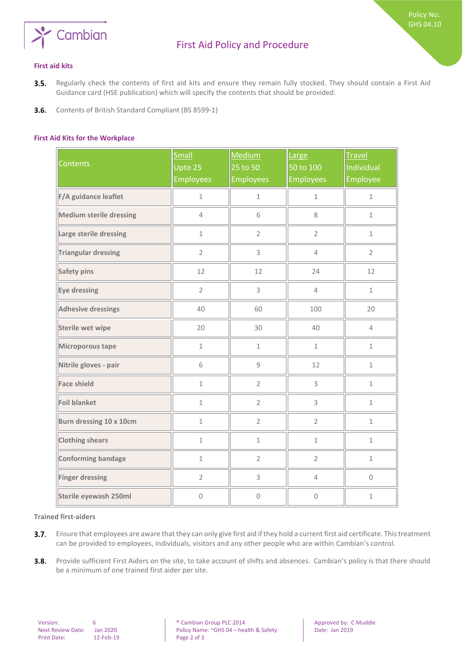

Policy No: GHS 04.10

- <span id="page-1-0"></span> $3.5.$ Regularly check the contents of first aid kits and ensure they remain fully stocked. They should contain a First Aid Guidance card (HSE publication) which will specify the contents that should be provided.
- <span id="page-1-1"></span> $3.6.$ Contents of British Standard Compliant (BS 8599-1)

### **First Aid Kits for the Workplace**

| <b>Contents</b>                | Small<br>Upto 25<br><b>Employees</b> | Medium<br>25 to 50<br><b>Employees</b> | Large<br>50 to 100<br><b>Employees</b> | <b>Travel</b><br>Individual<br>Employee |
|--------------------------------|--------------------------------------|----------------------------------------|----------------------------------------|-----------------------------------------|
| F/A guidance leaflet           | $\mathbf 1$                          | $\mathbf 1$                            | $\mathbf 1$                            | $\mathbf 1$                             |
| <b>Medium sterile dressing</b> | $\overline{4}$                       | 6                                      | 8                                      | $\mathbf 1$                             |
| Large sterile dressing         | $\mathbf 1$                          | $\overline{2}$                         | $\overline{2}$                         | $\mathbf 1$                             |
| <b>Triangular dressing</b>     | $\overline{2}$                       | 3                                      | $\overline{4}$                         | $\overline{2}$                          |
| <b>Safety pins</b>             | 12                                   | 12                                     | 24                                     | 12                                      |
| Eye dressing                   | $\overline{2}$                       | $\mathsf 3$                            | $\overline{4}$                         | $1\,$                                   |
| <b>Adhesive dressings</b>      | 40                                   | 60                                     | 100                                    | 20                                      |
| Sterile wet wipe               | 20                                   | 30                                     | 40                                     | $\overline{4}$                          |
| Microporous tape               | $\mathbf 1$                          | $\mathbf 1$                            | $\mathbf 1$                            | $\mathbf 1$                             |
| Nitrile gloves - pair          | 6                                    | $\mathsf g$                            | 12                                     | $\mathbf 1$                             |
| <b>Face shield</b>             | $\mathbf 1$                          | $\overline{2}$                         | 3                                      | $\mathbf 1$                             |
| <b>Foil blanket</b>            | $\mathbf 1$                          | $\overline{2}$                         | 3                                      | $\mathbf 1$                             |
| Burn dressing 10 x 10cm        | $\mathbf 1$                          | $\overline{2}$                         | $\overline{2}$                         | $\mathbf 1$                             |
| <b>Clothing shears</b>         | $\mathbf 1$                          | $\mathbf 1$                            | $\mathbf 1$                            | $1\,$                                   |
| Conforming bandage             | $\mathbf 1$                          | $\overline{2}$                         | $\overline{2}$                         | $1\,$                                   |
| <b>Finger dressing</b>         | $\overline{2}$                       | $\mathsf 3$                            | $\overline{4}$                         | $\mathsf{O}\xspace$                     |
| Sterile eyewash 250ml          | $\mathbf 0$                          | $\mathbf 0$                            | $\overline{0}$                         | $\mathbf 1$                             |

#### <span id="page-1-2"></span>**Trained first-aiders**

- $3.7.$ Ensure that employees are aware that they can only give first aid if they hold a current first aid certificate. This treatment can be provided to employees, individuals, visitors and any other people who are within Cambian's control.
- $3.8.$ Provide sufficient First Aiders on the site, to take account of shifts and absences. Cambian's policy is that there should be a minimum of one trained first aider per site.